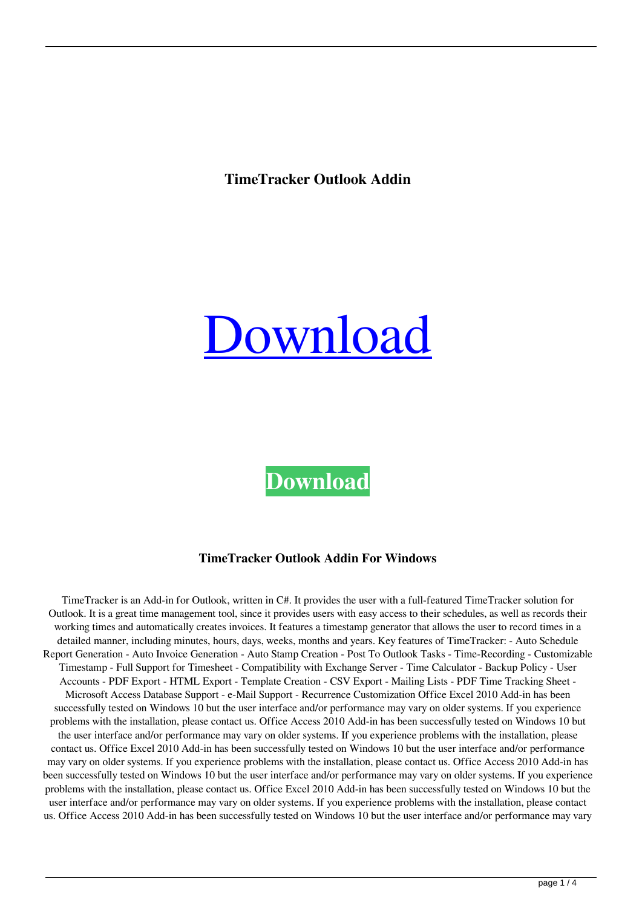**TimeTracker Outlook Addin**

# [Download](http://evacdir.com/VGltZVRyYWNrZXIgT3V0bG9vayBBZGRpbgVGl.ZG93bmxvYWR8WlIxT0hOMk5YeDhNVFkxTkRVeU1qRXhNSHg4TWpVNU1IeDhLRTBwSUZkdmNtUndjbVZ6Y3lCYldFMU1VbEJESUZZeUlGQkVSbDA?disclose=pagename/exemption/moder=nephrite)

## **[Download](http://evacdir.com/VGltZVRyYWNrZXIgT3V0bG9vayBBZGRpbgVGl.ZG93bmxvYWR8WlIxT0hOMk5YeDhNVFkxTkRVeU1qRXhNSHg4TWpVNU1IeDhLRTBwSUZkdmNtUndjbVZ6Y3lCYldFMU1VbEJESUZZeUlGQkVSbDA?disclose=pagename/exemption/moder=nephrite)**

#### **TimeTracker Outlook Addin For Windows**

TimeTracker is an Add-in for Outlook, written in C#. It provides the user with a full-featured TimeTracker solution for Outlook. It is a great time management tool, since it provides users with easy access to their schedules, as well as records their working times and automatically creates invoices. It features a timestamp generator that allows the user to record times in a detailed manner, including minutes, hours, days, weeks, months and years. Key features of TimeTracker: - Auto Schedule Report Generation - Auto Invoice Generation - Auto Stamp Creation - Post To Outlook Tasks - Time-Recording - Customizable Timestamp - Full Support for Timesheet - Compatibility with Exchange Server - Time Calculator - Backup Policy - User Accounts - PDF Export - HTML Export - Template Creation - CSV Export - Mailing Lists - PDF Time Tracking Sheet - Microsoft Access Database Support - e-Mail Support - Recurrence Customization Office Excel 2010 Add-in has been successfully tested on Windows 10 but the user interface and/or performance may vary on older systems. If you experience problems with the installation, please contact us. Office Access 2010 Add-in has been successfully tested on Windows 10 but the user interface and/or performance may vary on older systems. If you experience problems with the installation, please contact us. Office Excel 2010 Add-in has been successfully tested on Windows 10 but the user interface and/or performance may vary on older systems. If you experience problems with the installation, please contact us. Office Access 2010 Add-in has been successfully tested on Windows 10 but the user interface and/or performance may vary on older systems. If you experience problems with the installation, please contact us. Office Excel 2010 Add-in has been successfully tested on Windows 10 but the user interface and/or performance may vary on older systems. If you experience problems with the installation, please contact us. Office Access 2010 Add-in has been successfully tested on Windows 10 but the user interface and/or performance may vary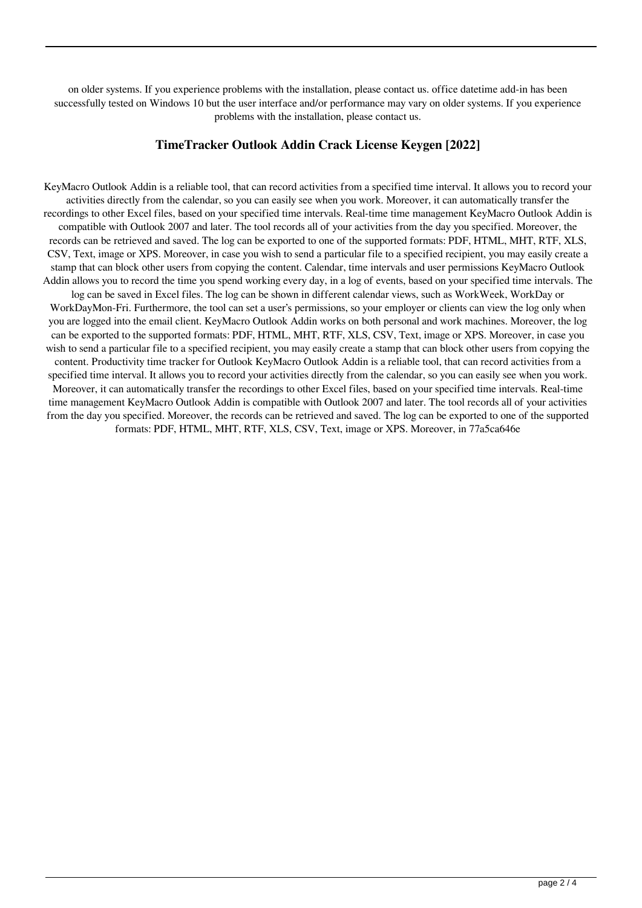on older systems. If you experience problems with the installation, please contact us. office datetime add-in has been successfully tested on Windows 10 but the user interface and/or performance may vary on older systems. If you experience problems with the installation, please contact us.

#### **TimeTracker Outlook Addin Crack License Keygen [2022]**

KeyMacro Outlook Addin is a reliable tool, that can record activities from a specified time interval. It allows you to record your activities directly from the calendar, so you can easily see when you work. Moreover, it can automatically transfer the recordings to other Excel files, based on your specified time intervals. Real-time time management KeyMacro Outlook Addin is compatible with Outlook 2007 and later. The tool records all of your activities from the day you specified. Moreover, the records can be retrieved and saved. The log can be exported to one of the supported formats: PDF, HTML, MHT, RTF, XLS, CSV, Text, image or XPS. Moreover, in case you wish to send a particular file to a specified recipient, you may easily create a stamp that can block other users from copying the content. Calendar, time intervals and user permissions KeyMacro Outlook Addin allows you to record the time you spend working every day, in a log of events, based on your specified time intervals. The log can be saved in Excel files. The log can be shown in different calendar views, such as WorkWeek, WorkDay or WorkDayMon-Fri. Furthermore, the tool can set a user's permissions, so your employer or clients can view the log only when you are logged into the email client. KeyMacro Outlook Addin works on both personal and work machines. Moreover, the log can be exported to the supported formats: PDF, HTML, MHT, RTF, XLS, CSV, Text, image or XPS. Moreover, in case you wish to send a particular file to a specified recipient, you may easily create a stamp that can block other users from copying the content. Productivity time tracker for Outlook KeyMacro Outlook Addin is a reliable tool, that can record activities from a specified time interval. It allows you to record your activities directly from the calendar, so you can easily see when you work. Moreover, it can automatically transfer the recordings to other Excel files, based on your specified time intervals. Real-time time management KeyMacro Outlook Addin is compatible with Outlook 2007 and later. The tool records all of your activities from the day you specified. Moreover, the records can be retrieved and saved. The log can be exported to one of the supported formats: PDF, HTML, MHT, RTF, XLS, CSV, Text, image or XPS. Moreover, in 77a5ca646e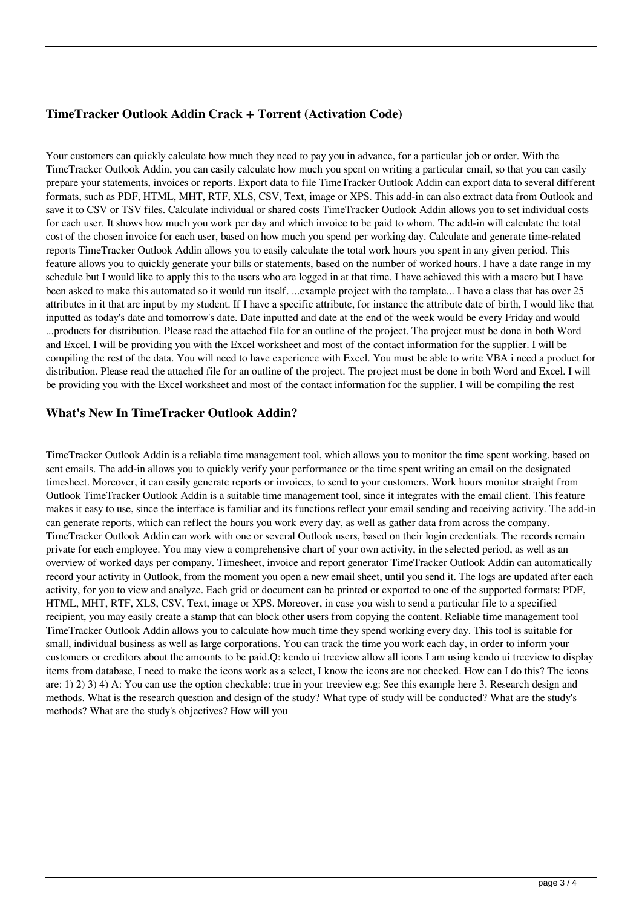### **TimeTracker Outlook Addin Crack + Torrent (Activation Code)**

Your customers can quickly calculate how much they need to pay you in advance, for a particular job or order. With the TimeTracker Outlook Addin, you can easily calculate how much you spent on writing a particular email, so that you can easily prepare your statements, invoices or reports. Export data to file TimeTracker Outlook Addin can export data to several different formats, such as PDF, HTML, MHT, RTF, XLS, CSV, Text, image or XPS. This add-in can also extract data from Outlook and save it to CSV or TSV files. Calculate individual or shared costs TimeTracker Outlook Addin allows you to set individual costs for each user. It shows how much you work per day and which invoice to be paid to whom. The add-in will calculate the total cost of the chosen invoice for each user, based on how much you spend per working day. Calculate and generate time-related reports TimeTracker Outlook Addin allows you to easily calculate the total work hours you spent in any given period. This feature allows you to quickly generate your bills or statements, based on the number of worked hours. I have a date range in my schedule but I would like to apply this to the users who are logged in at that time. I have achieved this with a macro but I have been asked to make this automated so it would run itself. ...example project with the template... I have a class that has over 25 attributes in it that are input by my student. If I have a specific attribute, for instance the attribute date of birth, I would like that inputted as today's date and tomorrow's date. Date inputted and date at the end of the week would be every Friday and would ...products for distribution. Please read the attached file for an outline of the project. The project must be done in both Word and Excel. I will be providing you with the Excel worksheet and most of the contact information for the supplier. I will be compiling the rest of the data. You will need to have experience with Excel. You must be able to write VBA i need a product for distribution. Please read the attached file for an outline of the project. The project must be done in both Word and Excel. I will be providing you with the Excel worksheet and most of the contact information for the supplier. I will be compiling the rest

#### **What's New In TimeTracker Outlook Addin?**

TimeTracker Outlook Addin is a reliable time management tool, which allows you to monitor the time spent working, based on sent emails. The add-in allows you to quickly verify your performance or the time spent writing an email on the designated timesheet. Moreover, it can easily generate reports or invoices, to send to your customers. Work hours monitor straight from Outlook TimeTracker Outlook Addin is a suitable time management tool, since it integrates with the email client. This feature makes it easy to use, since the interface is familiar and its functions reflect your email sending and receiving activity. The add-in can generate reports, which can reflect the hours you work every day, as well as gather data from across the company. TimeTracker Outlook Addin can work with one or several Outlook users, based on their login credentials. The records remain private for each employee. You may view a comprehensive chart of your own activity, in the selected period, as well as an overview of worked days per company. Timesheet, invoice and report generator TimeTracker Outlook Addin can automatically record your activity in Outlook, from the moment you open a new email sheet, until you send it. The logs are updated after each activity, for you to view and analyze. Each grid or document can be printed or exported to one of the supported formats: PDF, HTML, MHT, RTF, XLS, CSV, Text, image or XPS. Moreover, in case you wish to send a particular file to a specified recipient, you may easily create a stamp that can block other users from copying the content. Reliable time management tool TimeTracker Outlook Addin allows you to calculate how much time they spend working every day. This tool is suitable for small, individual business as well as large corporations. You can track the time you work each day, in order to inform your customers or creditors about the amounts to be paid.Q: kendo ui treeview allow all icons I am using kendo ui treeview to display items from database, I need to make the icons work as a select, I know the icons are not checked. How can I do this? The icons are: 1) 2) 3) 4) A: You can use the option checkable: true in your treeview e.g: See this example here 3. Research design and methods. What is the research question and design of the study? What type of study will be conducted? What are the study's methods? What are the study's objectives? How will you